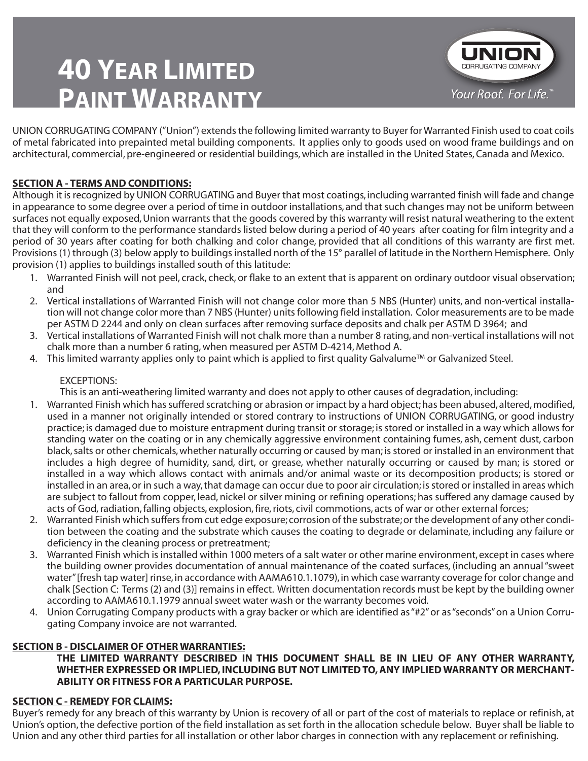# **40 YEAR LIMITED PAINT WARRANTY**



UNION CORRUGATING COMPANY ("Union") extends the following limited warranty to Buyer for Warranted Finish used to coat coils of metal fabricated into prepainted metal building components. It applies only to goods used on wood frame buildings and on architectural, commercial, pre-engineered or residential buildings, which are installed in the United States, Canada and Mexico.

# **SECTION A - TERMS AND CONDITIONS:**

Although it is recognized by UNION CORRUGATING and Buyer that most coatings, including warranted finish will fade and change in appearance to some degree over a period of time in outdoor installations, and that such changes may not be uniform between surfaces not equally exposed, Union warrants that the goods covered by this warranty will resist natural weathering to the extent that they will conform to the performance standards listed below during a period of 40 years after coating for film integrity and a period of 30 years after coating for both chalking and color change, provided that all conditions of this warranty are first met. Provisions (1) through (3) below apply to buildings installed north of the 15° parallel of latitude in the Northern Hemisphere. Only provision (1) applies to buildings installed south of this latitude:

- Warranted Finish will not peel, crack, check, or flake to an extent that is apparent on ordinary outdoor visual observation; 1. and
- 2. Vertical installations of Warranted Finish will not change color more than 5 NBS (Hunter) units, and non-vertical installation will not change color more than 7 NBS (Hunter) units following field installation. Color measurements are to be made per ASTM D 2244 and only on clean surfaces after removing surface deposits and chalk per ASTM D 3964; and
- 3. Vertical installations of Warranted Finish will not chalk more than a number 8 rating, and non-vertical installations will not chalk more than a number 6 rating, when measured per ASTM D-4214, Method A.
- This limited warranty applies only to paint which is applied to first quality Galvalume™ or Galvanized Steel. 4.

# EXCEPTIONS:

This is an anti-weathering limited warranty and does not apply to other causes of degradation, including:

- Warranted Finish which has suffered scratching or abrasion or impact by a hard object; has been abused, altered, modified, 1. used in a manner not originally intended or stored contrary to instructions of UNION CORRUGATING, or good industry practice; is damaged due to moisture entrapment during transit or storage; is stored or installed in a way which allows for standing water on the coating or in any chemically aggressive environment containing fumes, ash, cement dust, carbon black, salts or other chemicals, whether naturally occurring or caused by man; is stored or installed in an environment that includes a high degree of humidity, sand, dirt, or grease, whether naturally occurring or caused by man; is stored or installed in a way which allows contact with animals and/or animal waste or its decomposition products; is stored or installed in an area, or in such a way, that damage can occur due to poor air circulation; is stored or installed in areas which are subject to fallout from copper, lead, nickel or silver mining or refining operations; has suffered any damage caused by acts of God, radiation, falling objects, explosion, fire, riots, civil commotions, acts of war or other external forces;
- Warranted Finish which suffers from cut edge exposure; corrosion of the substrate; or the development of any other condi-2. tion between the coating and the substrate which causes the coating to degrade or delaminate, including any failure or deficiency in the cleaning process or pretreatment;
- Warranted Finish which is installed within 1000 meters of a salt water or other marine environment, except in cases where 3. the building owner provides documentation of annual maintenance of the coated surfaces, (including an annual "sweet water" [fresh tap water] rinse, in accordance with AAMA610.1.1079), in which case warranty coverage for color change and chalk [Section C: Terms (2) and (3)] remains in effect. Written documentation records must be kept by the building owner according to AAMA610.1.1979 annual sweet water wash or the warranty becomes void.
- Union Corrugating Company products with a gray backer or which are identified as "#2" or as "seconds" on a Union Corru-4. gating Company invoice are not warranted.

## **SECTION B - DISCLAIMER OF OTHER WARRANTIES:**

#### **THE LIMITED WARRANTY DESCRIBED IN THIS DOCUMENT SHALL BE IN LIEU OF ANY OTHER WARRANTY, WHETHER EXPRESSED OR IMPLIED, INCLUDING BUT NOT LIMITED TO, ANY IMPLIED WARRANTY OR MERCHANT-ABILITY OR FITNESS FOR A PARTICULAR PURPOSE.**

## **SECTION C - REMEDY FOR CLAIMS:**

Buyer's remedy for any breach of this warranty by Union is recovery of all or part of the cost of materials to replace or refinish, at Union's option, the defective portion of the field installation as set forth in the allocation schedule below. Buyer shall be liable to Union and any other third parties for all installation or other labor charges in connection with any replacement or refinishing.